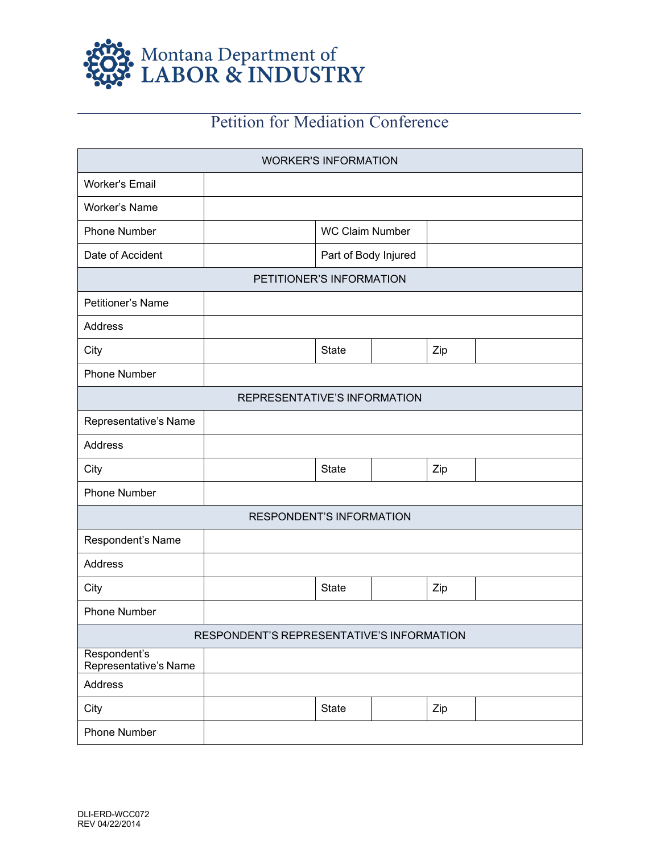

## Petition for Mediation Conference

| <b>WORKER'S INFORMATION</b>               |  |                        |  |     |  |  |
|-------------------------------------------|--|------------------------|--|-----|--|--|
| <b>Worker's Email</b>                     |  |                        |  |     |  |  |
| Worker's Name                             |  |                        |  |     |  |  |
| <b>Phone Number</b>                       |  | <b>WC Claim Number</b> |  |     |  |  |
| Date of Accident                          |  | Part of Body Injured   |  |     |  |  |
| PETITIONER'S INFORMATION                  |  |                        |  |     |  |  |
| Petitioner's Name                         |  |                        |  |     |  |  |
| Address                                   |  |                        |  |     |  |  |
| City                                      |  | <b>State</b>           |  | Zip |  |  |
| <b>Phone Number</b>                       |  |                        |  |     |  |  |
| <b>REPRESENTATIVE'S INFORMATION</b>       |  |                        |  |     |  |  |
| Representative's Name                     |  |                        |  |     |  |  |
| Address                                   |  |                        |  |     |  |  |
| City                                      |  | <b>State</b>           |  | Zip |  |  |
| <b>Phone Number</b>                       |  |                        |  |     |  |  |
| <b>RESPONDENT'S INFORMATION</b>           |  |                        |  |     |  |  |
| Respondent's Name                         |  |                        |  |     |  |  |
| Address                                   |  |                        |  |     |  |  |
| City                                      |  | <b>State</b>           |  | Zip |  |  |
| <b>Phone Number</b>                       |  |                        |  |     |  |  |
| RESPONDENT'S REPRESENTATIVE'S INFORMATION |  |                        |  |     |  |  |
| Respondent's<br>Representative's Name     |  |                        |  |     |  |  |
| Address                                   |  |                        |  |     |  |  |
| City                                      |  | <b>State</b>           |  | Zip |  |  |
| Phone Number                              |  |                        |  |     |  |  |